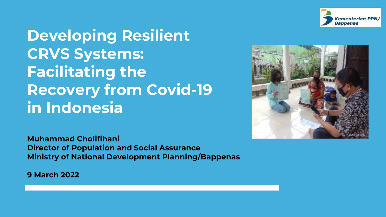

**Developing Resilient CRVS Systems: Facilitating the Recovery from Covid-19 in Indonesia**



**Muhammad Cholifihani Director of Population and Social Assurance Ministry of National Development Planning/Bappenas**

**9 March 2022**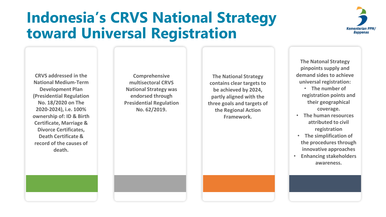## **Indonesia's CRVS National Strategy toward Universal Registration**



**CRVS addressed in the National Medium-Term Development Plan (Presidential Regulation No. 18/2020 on The 2020-2024), i.e. 100% ownership of: ID & Birth Certificate, Marriage & Divorce Certificates, Death Certificate & record of the causes of death.**

**Comprehensive multisectoral CRVS National Strategy was endorsed through Presidential Regulation No. 62/2019.** 

**The National Strategy contains clear targets to be achieved by 2024, partly aligned with the three goals and targets of the Regional Action Framework.** 

**The Natonal Strategy pinpoints supply and demand sides to achieve universal registration:** 

- **The number of registration points and their geographical coverage.**
- **The human resources attributed to civil registration**
- **The simplification of the procedures through innovative approaches**
- **Enhancing stakeholders awareness.**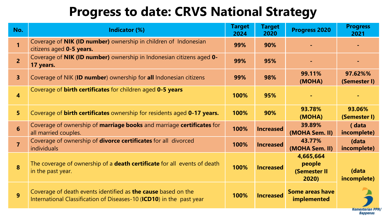### **Progress to date: CRVS National Strategy**

| No.                     | Indicator (%)                                                                                                                         | <b>Target</b><br>2024 | <b>Target</b><br>2020 | <b>Progress 2020</b>                         | <b>Progress</b><br>2021 |  |
|-------------------------|---------------------------------------------------------------------------------------------------------------------------------------|-----------------------|-----------------------|----------------------------------------------|-------------------------|--|
| 1                       | Coverage of NIK (ID number) ownership in children of Indonesian<br>citizens aged 0-5 years.                                           | 99%                   | 90%                   |                                              |                         |  |
| $\overline{2}$          | Coverage of NIK (ID number) ownership in Indonesian citizens aged 0-<br>17 years.                                                     | 99%                   | 95%                   |                                              |                         |  |
| 3 <sup>1</sup>          | Coverage of NIK (ID number) ownership for all Indonesian citizens                                                                     | 99%                   | 98%                   | 99.11%<br>(MOHA)                             | 97.62%%<br>(Semester I) |  |
| $\overline{\mathbf{4}}$ | Coverage of <b>birth certificates</b> for children aged 0-5 years                                                                     | 100%                  | 95%                   |                                              |                         |  |
| 5 <sup>1</sup>          | Coverage of <b>birth certificates</b> ownership for residents aged 0-17 years.                                                        | 100%                  | 90%                   | 93.78%<br>(MOHA)                             | 93.06%<br>(Semester I)  |  |
| $6\phantom{a}$          | Coverage of ownership of marriage books and marriage certificates for<br>all married couples.                                         | 100%                  | <b>Increased</b>      | 39.89%<br>(MOHA Sem. II)                     | (data<br>incomplete)    |  |
| $\overline{7}$          | Coverage of ownership of <b>divorce certificates</b> for all divorced<br>individuals                                                  | 100%                  | <b>Increased</b>      | 43.77%<br>(MOHA Sem. II)                     | (data<br>incomplete)    |  |
| 8                       | The coverage of ownership of a <b>death certificate</b> for all events of death<br>in the past year.                                  | 100%                  | <b>Increased</b>      | 4,665,664<br>people<br>(Semester II<br>2020) | (data<br>incomplete)    |  |
| $\overline{9}$          | Coverage of death events identified as the cause based on the<br>International Classification of Diseases-10 (ICD10) in the past year | 100%                  | <b>Increased</b>      | <b>Some areas have</b><br>implemented        | Kementerian PPN         |  |
|                         | Bappenas                                                                                                                              |                       |                       |                                              |                         |  |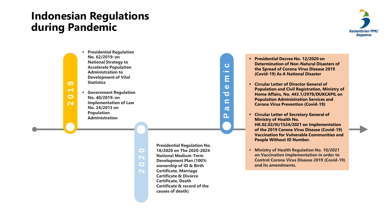#### **Indonesian Regulations during Pandemic**



▪ **Presidential Regulation No. 62/2019: on National Strategy to Accelerate Population Administration to Development of Vital Statistics** ▪ **Government Regulation** 

**No. 40/2019: on Implementation of Law No. 24/2013 on Population Administration**

> **Presidential Regulation No. 18/2020 on The 2020-2024 National Medium-Term Development Plan (100% ownership of ID & Birth Certificate, Marriage Certificate & Divorce Certificate, Death Certificate & record of the causes of death)**

**P a n d e m i c**

 $\bullet$ m. Ε  $\boldsymbol{\omega}$  $\overline{\mathbf{C}}$  $\blacksquare$  $\boldsymbol{\varpi}$  $\mathbf{a}$ 

**2020**

- **Presidential Decree No. 12/2020 on Determination of Non-Natural Disasters of the Spread of Corona Virus Disease 2019 (Covid-19) As A National Disaster**
- **Circular Letter of Director General of Population and Civil Registration, Ministry of Home Affairs, No. 443.1/2978/DUKCAPIL on Population Administration Services and Corona Virus Prevention (Covid-19)**
- **Circular Letter of Secretary General of Ministry of Health No. HK.02.02/III/1524/2021 on Implementation of the 2019 Corona Virus Disease (Covid-19) Vaccination for Vulnerable Communities and People Without ID Number.**
- **2021 Control Corona Virus Disease 2019 (Covid-19)**<br> **2021 Control Corona Virus Disease 2019 (Covid-19)**<br> **2021 Covid-19** ▪ **Ministry of Health Regulation No. 10/2021 on Vaccination Implementation in order to and its amendments.**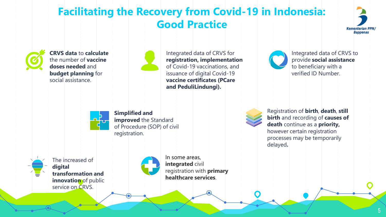#### **Facilitating the Recovery from Covid-19 in Indonesia: Good Practice**





**CRVS data** to **calculate** the number of **vaccine doses needed** and **budget planning** for social assistance.



Integrated data of CRVS for **registration, implementation** of Covid-19 vaccinations, and issuance of digital Covid-19 **vaccine certificates (PCare and PeduliLindungi).**



Integrated data of CRVS to provide **social assistance**  to beneficiary with a verified ID Number.



**Simplified and improved** the Standard of Procedure (SOP) of civil registration.





In some areas, **integrated** civil registration with **primary healthcare services**.



Registration of **birth**, **death**, **still birth** and recording of **causes of death** continue as a **priority,**  however certain registration processes may be temporarily delayed**.**